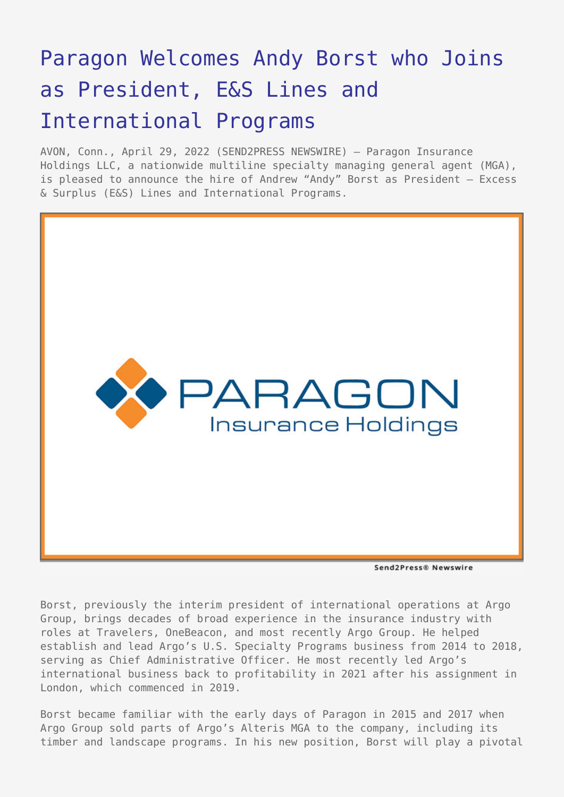## [Paragon Welcomes Andy Borst who Joins](https://www.send2press.com/wire/paragon-welcomes-andy-borst-who-joins-as-president-es-lines-and-international-programs/) [as President, E&S Lines and](https://www.send2press.com/wire/paragon-welcomes-andy-borst-who-joins-as-president-es-lines-and-international-programs/) [International Programs](https://www.send2press.com/wire/paragon-welcomes-andy-borst-who-joins-as-president-es-lines-and-international-programs/)

AVON, Conn., April 29, 2022 (SEND2PRESS NEWSWIRE) — Paragon Insurance Holdings LLC, a nationwide multiline specialty managing general agent (MGA), is pleased to announce the hire of Andrew "Andy" Borst as President — Excess & Surplus (E&S) Lines and International Programs.



Send2Press® Newswire

Borst, previously the interim president of international operations at Argo Group, brings decades of broad experience in the insurance industry with roles at Travelers, OneBeacon, and most recently Argo Group. He helped establish and lead Argo's U.S. Specialty Programs business from 2014 to 2018, serving as Chief Administrative Officer. He most recently led Argo's international business back to profitability in 2021 after his assignment in London, which commenced in 2019.

Borst became familiar with the early days of Paragon in 2015 and 2017 when Argo Group sold parts of Argo's Alteris MGA to the company, including its timber and landscape programs. In his new position, Borst will play a pivotal